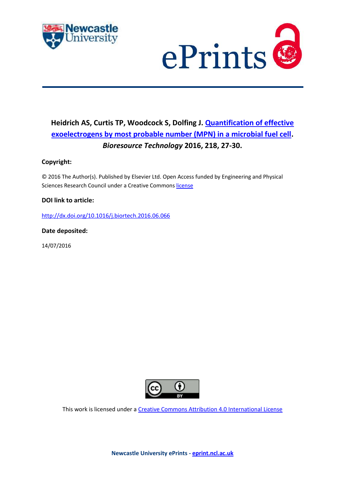



# **Heidrich AS, Curtis TP, Woodcock S, Dolfing J. [Quantification of effective](javascript:ViewPublication(225876);)  [exoelectrogens by most probable number \(MPN\) in a microbial fuel cell.](javascript:ViewPublication(225876);)**  *Bioresource Technology* **2016, 218, 27-30.**

### **Copyright:**

© 2016 The Author(s). Published by Elsevier Ltd. Open Access funded by Engineering and Physical Sciences Research Council under a Creative Commons [license](http://creativecommons.org/licenses/by/4.0/)

### **DOI link to article:**

<http://dx.doi.org/10.1016/j.biortech.2016.06.066>

**Date deposited:** 

14/07/2016



This work is licensed under [a Creative Commons Attribution 4.0 International License](http://creativecommons.org/licenses/by/4.0/)

**Newcastle University ePrints - [eprint.ncl.ac.uk](http://eprint.ncl.ac.uk/)**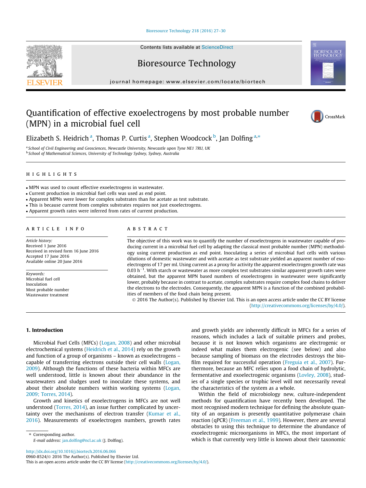[Bioresource Technology 218 \(2016\) 27–30](http://dx.doi.org/10.1016/j.biortech.2016.06.066)

# Bioresource Technology

journal homepage: [www.elsevier.com/locate/biortech](http://www.elsevier.com/locate/biortech)

# Quantification of effective exoelectrogens by most probable number (MPN) in a microbial fuel cell



Elizabeth S. Heidrich <sup>a</sup>, Thomas P. Curtis <sup>a</sup>, Stephen Woodcock <sup>b</sup>, Jan Dolfing <sup>a,\*</sup>

<sup>a</sup> School of Civil Engineering and Geosciences, Newcastle University, Newcastle upon Tyne NE1 7RU, UK <sup>b</sup> School of Mathematical Sciences, University of Technology Sydney, Sydney, Australia

### highlights are the second control of the second control of the second control of the second control of the second control of the second control of the second control of the second control of the second control of the secon

MPN was used to count effective exoelectrogens in wastewater.

Current production in microbial fuel cells was used as end point.

Apparent MPNs were lower for complex substrates than for acetate as test substrate.

This is because current from complex substrates requires not just exoelectrogens.

Apparent growth rates were inferred from rates of current production.

#### article info

Article history: Received 1 June 2016 Received in revised form 16 June 2016 Accepted 17 June 2016 Available online 20 June 2016

Keywords: Microbial fuel cell Inoculation Most probable number Wastewater treatment

The objective of this work was to quantify the number of exoelectrogens in wastewater capable of producing current in a microbial fuel cell by adapting the classical most probable number (MPN) methodology using current production as end point. Inoculating a series of microbial fuel cells with various dilutions of domestic wastewater and with acetate as test substrate yielded an apparent number of exoelectrogens of 17 per ml. Using current as a proxy for activity the apparent exoelectrogen growth rate was  $0.03$  h<sup>-1</sup>. With starch or wastewater as more complex test substrates similar apparent growth rates were obtained, but the apparent MPN based numbers of exoelectrogens in wastewater were significantly lower, probably because in contrast to acetate, complex substrates require complex food chains to deliver the electrons to the electrodes. Consequently, the apparent MPN is a function of the combined probabilities of members of the food chain being present.

 2016 The Author(s). Published by Elsevier Ltd. This is an open access article under the CC BY license [\(http://creativecommons.org/licenses/by/4.0/](http://creativecommons.org/licenses/by/4.0/)).

#### 1. Introduction

Microbial Fuel Cells (MFCs) [\(Logan, 2008](#page-4-0)) and other microbial electrochemical systems ([Heidrich et al., 2014](#page-4-0)) rely on the growth and function of a group of organisms – known as exoelectrogens – capable of transferring electrons outside their cell walls [\(Logan,](#page-4-0) [2009](#page-4-0)). Although the functions of these bacteria within MFCs are well understood, little is known about their abundance in the wastewaters and sludges used to inoculate these systems, and about their absolute numbers within working systems [\(Logan,](#page-4-0) [2009; Torres, 2014](#page-4-0)).

Growth and kinetics of exoelectrogens in MFCs are not well understood [\(Torres, 2014](#page-4-0)), an issue further complicated by uncertainty over the mechanisms of electron transfer ([Kumar et al.,](#page-4-0) [2016\)](#page-4-0). Measurements of exoelectrogen numbers, growth rates

⇑ Corresponding author. E-mail address: [jan.dolfing@ncl.ac.uk](mailto:jan.dolfing@ncl.ac.uk) (J. Dolfing). the characteristics of the system as a whole. Within the field of microbiology new, culture-independent methods for quantification have recently been developed. The

most recognised modern technique for defining the absolute quantity of an organism is presently quantitative polymerase chain reaction (qPCR) ([Freeman et al., 1999](#page-4-0)). However, there are several obstacles to using this technique to determine the abundance of exoelectrogenic microorganisms in MFCs, the most important of which is that currently very little is known about their taxonomic

and growth yields are inherently difficult in MFCs for a series of reasons, which includes a lack of suitable primers and probes, because it is not known which organisms are electrogenic or indeed what makes them electrogenic (see below) and also because sampling of biomass on the electrodes destroys the biofilm required for successful operation ([Freguia et al., 2007\)](#page-4-0). Furthermore, because an MFC relies upon a food chain of hydrolytic, fermentative and exoelectrogenic organisms ([Lovley, 2008\)](#page-4-0), studies of a single species or trophic level will not necessarily reveal

<http://dx.doi.org/10.1016/j.biortech.2016.06.066>

0960-8524/© 2016 The Author(s). Published by Elsevier Ltd.

This is an open access article under the CC BY license [\(http://creativecommons.org/licenses/by/4.0/\)](http://creativecommons.org/licenses/by/4.0/).

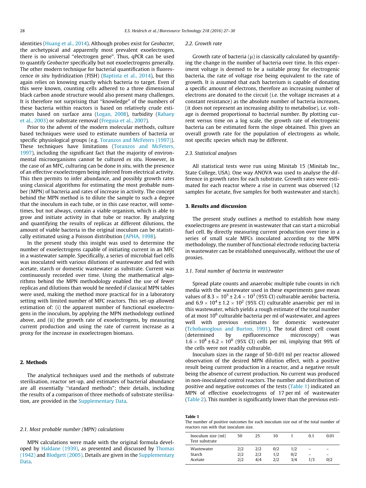identities [\(Huang et al., 2014](#page-4-0)). Although probes exist for Geobacter, the archetypical and apparently most prevalent exoelectrogen, there is no universal ''electrogen gene". Thus, qPCR can be used to quantify Geobacter specifically but not exoelectrogens generally. The other modern technique for bacterial quantification is fluorescence in situ hydridization (FISH) ([Baptista et al., 2014](#page-4-0)), but this again relies on knowing exactly which bacteria to target. Even if this were known, counting cells adhered to a three dimensional black carbon anode structure would also present many challenges. It is therefore not surprising that ''knowledge" of the numbers of these bacteria within reactors is based on relatively crude estimates based on surface area ([Logan, 2008\)](#page-4-0), turbidity ([Rabaey](#page-4-0) [et al., 2003\)](#page-4-0) or substrate removal [\(Freguia et al., 2007\)](#page-4-0).

Prior to the advent of the modern molecular methods, culture based techniques were used to estimate numbers of bacteria or specific physiological groups (e.g. [Toranzos and McFeters \(1997\)\)](#page-4-0). These techniques have limitations [\(Toranzos and McFeters,](#page-4-0) [1997\)](#page-4-0), including the significant fact that the majority of environmental microorganisms cannot be cultured ex situ. However, in the case of an MFC, culturing can be done in situ, with the presence of an effective exoelectrogen being inferred from electrical activity. This then permits to infer abundance, and possibly growth rates using classical algorithms for estimating the most probable number (MPN) of bacteria and rates of increase in activity. The concept behind the MPN method is to dilute the sample to such a degree that the inoculum in each tube, or in this case reactor, will sometimes, but not always, contain a viable organism, which is able to grow and initiate activity in that tube or reactor. By analyzing and quantifying the results of replicas at different dilutions, the amount of viable bacteria in the original inoculum can be statistically estimated using a Poisson distribution [\(APHA, 1998\)](#page-4-0).

In the present study this insight was used to determine the number of exoelectrogens capable of initiating current in an MFC in a wastewater sample. Specifically, a series of microbial fuel cells was inoculated with various dilutions of wastewater and fed with acetate, starch or domestic wastewater as substrate. Current was continuously recorded over time. Using the mathematical algorithms behind the MPN methodology enabled the use of fewer replicas and dilutions than would be needed if classical MPN tables were used, making the method more practical for in a laboratory setting with limited number of MFC reactors. This set-up allowed estimation of: (i) the apparent number of functional exoelectrogens in the inoculum, by applying the MPN methodology outlined above, and (ii) the growth rate of exoelectrogens, by measuring current production and using the rate of current increase as a proxy for the increase in exoelectrogen biomass.

### 2. Methods

The analytical techniques used and the methods of substrate sterilisation, reactor set-up, and estimates of bacterial abundance are all essentially ''standard methods"; their details, including the results of a comparison of three methods of substrate sterilisation, are provided in the Supplementary Data.

#### 2.1. Most probable number (MPN) calculations

MPN calculations were made with the original formula developed by [Haldane \(1939\),](#page-4-0) as presented and discussed by [Thomas](#page-4-0) [\(1942\)](#page-4-0) and [Blodgett \(2005\)](#page-4-0). Details are given in the Supplementary Data.

#### 2.2. Growth rate

Growth rate of bacteria  $(u)$  is classically calculated by quantifying the change in the number of bacteria over time. In this experiment voltage is deemed to be a suitable proxy for electrogenic bacteria, the rate of voltage rise being equivalent to the rate of growth. It is assumed that each bacterium is capable of donating a specific amount of electrons, therefore an increasing number of electrons are donated to the circuit (i.e. the voltage increases at a constant resistance) as the absolute number of bacteria increases, (it does not represent an increasing ability to metabolise), i.e. voltage is deemed proportional to bacterial number. By plotting current versus time on a log scale, the growth rate of electrogenic bacteria can be estimated form the slope obtained. This gives an overall growth rate for the population of electrogens as whole, not specific species which may be different.

#### 2.3. Statistical analyses

All statistical tests were run using Minitab 15 (Minitab Inc., State College, USA). One way ANOVA was used to analyse the difference in growth rates for each substrate. Growth rates were estimated for each reactor where a rise in current was observed (12 samples for acetate, five samples for both wastewater and starch).

#### 3. Results and discussion

The present study outlines a method to establish how many exoelectrogens are present in wastewater that can start a microbial fuel cell. By directly measuring current production over time in a series of small scale MFCs inoculated according to the MPN methodology, the number of functional electrode reducing bacteria in wastewater can be established unequivocally, without the use of proxies.

#### 3.1. Total number of bacteria in wastewater

Spread plate counts and anaerobic multiple tube counts in rich media with the wastewater used in these experiments gave mean values of 8.3  $\times$  10<sup>5</sup> ± 2.4  $\times$  10<sup>3</sup> (95% CI) culturable aerobic bacteria, and  $6.9 \times 10^4 \pm 1.2 \times 10^2$  (95% CI) culturable anaerobic per ml in this wastewater, which yields a rough estimate of the total number of at most  $10^6$  culturable bacteria per ml of wastewater, and agrees well with previous estimates for domestic wastewater ([Tchobanoglous and Burton, 1991](#page-4-0)). The total direct cell count (determined by epifluorescence microscopy) was  $1.6 \times 10^8 \pm 6.2 \times 10^6$  (95% CI) cells per ml, implying that 99% of the cells were not readily culturable.

Inoculum sizes in the range of 50–0.01 ml per reactor allowed observation of the desired MPN dilution effect, with a positive result being current production in a reactor, and a negative result being the absence of current production. No current was produced in non-inoculated control reactors. The number and distribution of positive and negative outcomes of the tests (Table 1) indicated an MPN of effective exoelectrogens of 17 per ml of wastewater ([Table 2\)](#page-3-0). This number is significantly lower than the previous esti-

#### Table 1

The number of positive outcomes for each inoculum size out of the total number of reactors run with that inoculum size.

| Inoculum size (ml)<br>Test substrate | 50  | 25  | 10  |     | 0.1 | 0.01 |
|--------------------------------------|-----|-----|-----|-----|-----|------|
| Wastewater                           | 2/2 | 2/2 | 0/2 | 1/2 |     |      |
| Starch                               | 2/2 | 2/2 | 1/2 | 0/2 |     |      |
| Acetate                              | 2/2 | 4/4 | 2/2 | 3/4 | 1/3 | 0/2  |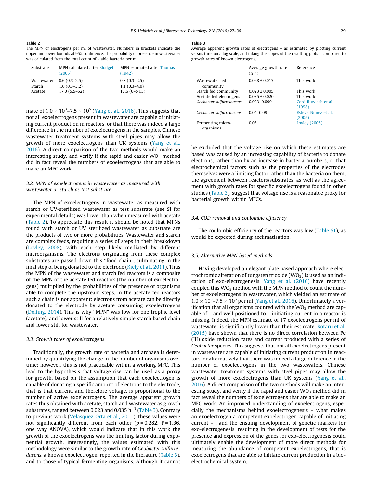#### <span id="page-3-0"></span>Table 2

The MPN of electrogens per ml of wastewater. Numbers in brackets indicate the upper and lower bounds at 95% confidence. The probability of presence in wastewater was calculated from the total count of viable bacteria per ml.

| Substrate  | MPN calculated after Blodgett<br>(2005) | MPN estimated after Thomas<br>(1942) |
|------------|-----------------------------------------|--------------------------------------|
| Wastewater | $0.6(0.3-2.5)$                          | $0.8(0.3-2.5)$                       |
| Starch     | $1.0(0.3-3.2)$                          | $1.1(0.3-4.0)$                       |
| Acetate    | $17.0(5.5-52)$                          | $17.6(6-51.5)$                       |

mate of  $1.0 \times 10^3$ –7.5  $\times 10^5$  [\(Yang et al., 2016\)](#page-4-0). This suggests that not all exoelectrogens present in wastewater are capable of initiating current production in reactors, or that there was indeed a large difference in the number of exoelectrogens in the samples. Chinese wastewater treatment systems with steel pipes may allow the growth of more exoelectrogens than UK systems ([Yang et al.,](#page-4-0) [2016\)](#page-4-0). A direct comparison of the two methods would make an interesting study, and verify if the rapid and easier  $WO<sub>3</sub>$  method did in fact reveal the numbers of exoelectrogens that are able to make an MFC work.

#### 3.2. MPN of exoelectrogens in wastewater as measured with wastewater or starch as test substrate

The MPN of exoelectrogens in wastewater as measured with starch or UV-sterilized wastewater as test substrate (see SI for experimental details) was lower than when measured with acetate (Table 2). To appreciate this result it should be noted that MPNs found with starch or UV sterilized wastewater as substrate are the products of two or more probabilities. Wastewater and starch are complex feeds, requiring a series of steps in their breakdown ([Lovley, 2008\)](#page-4-0), with each step likely mediated by different microorganisms. The electrons originating from these complex substrates are passed down this ''food chain", culminating in the final step of being donated to the electrode [\(Kiely et al., 2011\)](#page-4-0). Thus the MPN of the wastewater and starch fed reactors is a composite of the MPN of the acetate fed reactors (the number of exoelectrogens) multiplied by the probabilities of the presence of organisms able to complete the upstream steps. In the acetate fed reactors such a chain is not apparent: electrons from acetate can be directly donated to the electrode by acetate consuming exoelectrogens ([Dolfing, 2014\)](#page-4-0). This is why ''MPN" was low for one trophic level (acetate), and lower still for a relatively simple starch based chain and lower still for wastewater.

#### 3.3. Growth rates of exoelectrogens

Traditionally, the growth rate of bacteria and archaea is determined by quantifying the change in the number of organisms over time; however, this is not practicable within a working MFC. This lead to the hypothesis that voltage rise can be used as a proxy for growth, based on the assumption that each exoelectrogen is capable of donating a specific amount of electrons to the electrode, that is that current, and therefore voltage, is proportional to the number of active exoelectrogens. The average apparent growth rates thus obtained with acetate, starch and wastewater as growth substrates, ranged between 0.023 and 0.035  $h^{-1}$  (Table 3). Contrary to previous work ([Velasquez-Orta et al., 2011](#page-4-0)), these values were not significantly different from each other ( $p = 0.282$ ,  $F = 1.36$ , one way ANOVA), which would indicate that in this work the growth of the exoelectrogens was the limiting factor during exponential growth. Interestingly, the values estimated with this methodology were similar to the growth rate of Geobacter sulfurreducens, a known exoelectrogen, reported in the literature (Table 3), and to those of typical fermenting organisms. Although it cannot

#### Table 3

Average apparent growth rates of electrogens – as estimated by plotting current versus time on a log scale, and taking the slopes of the resulting plots – compared to growth rates of known electrogens.

|                                | Average growth rate<br>$(h^{-1})$ | Reference                     |
|--------------------------------|-----------------------------------|-------------------------------|
| Wastewater fed<br>community    | $0.028 \pm 0.013$                 | This work                     |
| Starch fed community           | $0.023 \pm 0.005$                 | This work                     |
| Acetate fed electrogens        | $0.035 \pm 0.020$                 | This work                     |
| Geobacter sulfurreducens       | $0.023 - 0.099$                   | Cord-Ruwisch et al.<br>(1998) |
| Geobacter sulfurreducens       | $0.04 - 0.09$                     | Esteve-Nunez et al.<br>(2005) |
| Fermenting micro-<br>organisms | 0.05                              | Lovley (2008)                 |

be excluded that the voltage rise on which these estimates are based was caused by an increasing capability of bacteria to donate electrons, rather than by an increase in bacteria numbers, or that electrochemical factors such as the properties of the electrodes themselves were a limiting factor rather than the bacteria on them, the agreement between reactors/substrates, as well as the agreement with growth rates for specific exoelectrogens found in other studies (Table 3), suggest that voltage rise is a reasonable proxy for bacterial growth within MFCs.

#### 3.4. COD removal and coulombic efficiency

The coulombic efficiency of the reactors was low (Table S1), as would be expected during acclimatisation.

#### 3.5. Alternative MPN based methods

Having developed an elegant plate based approach where electrochromic alteration of tungsten trioxide ( $WO<sub>3</sub>$ ) is used as an indication of exo-electrogenesis, [Yang et al. \(2016\)](#page-4-0) have recently coupled this  $WO_3$  method with the MPN method to count the number of exoelectrogens in wastewater, which yielded an estimate of  $1.0 \times 10^3$ –7.5  $\times$  10<sup>5</sup> per ml [\(Yang et al., 2016\)](#page-4-0). Unfortunately a verification that all organisms counted with the  $WO<sub>3</sub>$  method are capable of – and well positioned to – initiating current in a reactor is missing. Indeed, the MPN estimate of 17 exoelectrogens per ml of wastewater is significantly lower than their estimate. [Rotaru et al.](#page-4-0) [\(2015\)](#page-4-0) have shown that there is no direct correlation between Fe (III) oxide reduction rates and current produced with a series of Geobacter species. This suggests that not all exoelectrogens present in wastewater are capable of initiating current production in reactors, or alternatively that there was indeed a large difference in the number of exoelectrogens in the two wastewaters. Chinese wastewater treatment systems with steel pipes may allow the growth of more exoelectrogens than UK systems ([Yang et al.,](#page-4-0) [2016](#page-4-0)). A direct comparison of the two methods will make an interesting study, and verify if the rapid and easier  $WO<sub>3</sub>$  method did in fact reveal the numbers of exoelectrogens that are able to make an MFC work. An improved understanding of exoelectrogens, especially the mechanisms behind exoelectrogenesis – what makes an exoelectrogen a competent exoelectrogen capable of initiating current – , and the ensuing development of genetic markers for exo-electrogenesis, resulting in the development of tests for the presence and expression of the genes for exo-electrogenesis could ultimately enable the development of more direct methods for measuring the abundance of competent exoelectrogens, that is exoelectrogens that are able to initiate current production in a bioelectrochemical system.